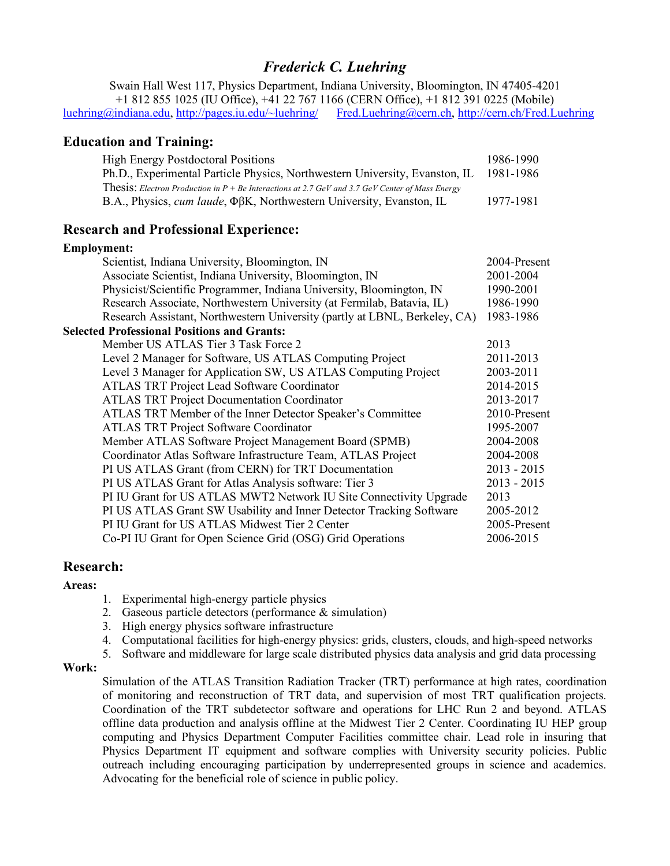# *Frederick C. Luehring*

Swain Hall West 117, Physics Department, Indiana University, Bloomington, IN 47405-4201 +1 812 855 1025 (IU Office), +41 22 767 1166 (CERN Office), +1 812 391 0225 (Mobile) luehring@indiana.edu, http://pages.iu.edu/~luehring/ Fred.Luehring@cern.ch, http://cern.ch/Fred.Luehring

#### **Education and Training:**

| <b>High Energy Postdoctoral Positions</b>                                                                | 1986-1990 |
|----------------------------------------------------------------------------------------------------------|-----------|
| Ph.D., Experimental Particle Physics, Northwestern University, Evanston, IL 1981-1986                    |           |
| <b>Thesis:</b> Electron Production in $P + Be$ Interactions at 2.7 GeV and 3.7 GeV Center of Mass Energy |           |
| B.A., Physics, <i>cum laude</i> , ΦβK, Northwestern University, Evanston, IL                             | 1977-1981 |

## **Research and Professional Experience:**

# **Employment:**

|                                                    | Scientist, Indiana University, Bloomington, IN                             | 2004-Present  |  |
|----------------------------------------------------|----------------------------------------------------------------------------|---------------|--|
|                                                    | Associate Scientist, Indiana University, Bloomington, IN                   | 2001-2004     |  |
|                                                    | Physicist/Scientific Programmer, Indiana University, Bloomington, IN       | 1990-2001     |  |
|                                                    | Research Associate, Northwestern University (at Fermilab, Batavia, IL)     | 1986-1990     |  |
|                                                    | Research Assistant, Northwestern University (partly at LBNL, Berkeley, CA) | 1983-1986     |  |
| <b>Selected Professional Positions and Grants:</b> |                                                                            |               |  |
|                                                    | Member US ATLAS Tier 3 Task Force 2                                        | 2013          |  |
|                                                    | Level 2 Manager for Software, US ATLAS Computing Project                   | 2011-2013     |  |
|                                                    | Level 3 Manager for Application SW, US ATLAS Computing Project             | 2003-2011     |  |
|                                                    | <b>ATLAS TRT Project Lead Software Coordinator</b>                         | 2014-2015     |  |
|                                                    | <b>ATLAS TRT Project Documentation Coordinator</b>                         | 2013-2017     |  |
|                                                    | ATLAS TRT Member of the Inner Detector Speaker's Committee                 | 2010-Present  |  |
|                                                    | <b>ATLAS TRT Project Software Coordinator</b>                              | 1995-2007     |  |
|                                                    | Member ATLAS Software Project Management Board (SPMB)                      | 2004-2008     |  |
|                                                    | Coordinator Atlas Software Infrastructure Team, ATLAS Project              | 2004-2008     |  |
|                                                    | PI US ATLAS Grant (from CERN) for TRT Documentation                        | $2013 - 2015$ |  |
|                                                    | PI US ATLAS Grant for Atlas Analysis software: Tier 3                      | $2013 - 2015$ |  |
|                                                    | PI IU Grant for US ATLAS MWT2 Network IU Site Connectivity Upgrade         | 2013          |  |
|                                                    | PI US ATLAS Grant SW Usability and Inner Detector Tracking Software        | 2005-2012     |  |
|                                                    | PI IU Grant for US ATLAS Midwest Tier 2 Center                             | 2005-Present  |  |
|                                                    | Co-PI IU Grant for Open Science Grid (OSG) Grid Operations                 | 2006-2015     |  |

#### **Research:**

#### **Areas:**

- 1. Experimental high-energy particle physics
- 2. Gaseous particle detectors (performance & simulation)
- 3. High energy physics software infrastructure
- 4. Computational facilities for high-energy physics: grids, clusters, clouds, and high-speed networks
- 5. Software and middleware for large scale distributed physics data analysis and grid data processing

#### **Work:**

Simulation of the ATLAS Transition Radiation Tracker (TRT) performance at high rates, coordination of monitoring and reconstruction of TRT data, and supervision of most TRT qualification projects. Coordination of the TRT subdetector software and operations for LHC Run 2 and beyond. ATLAS offline data production and analysis offline at the Midwest Tier 2 Center. Coordinating IU HEP group computing and Physics Department Computer Facilities committee chair. Lead role in insuring that Physics Department IT equipment and software complies with University security policies. Public outreach including encouraging participation by underrepresented groups in science and academics. Advocating for the beneficial role of science in public policy.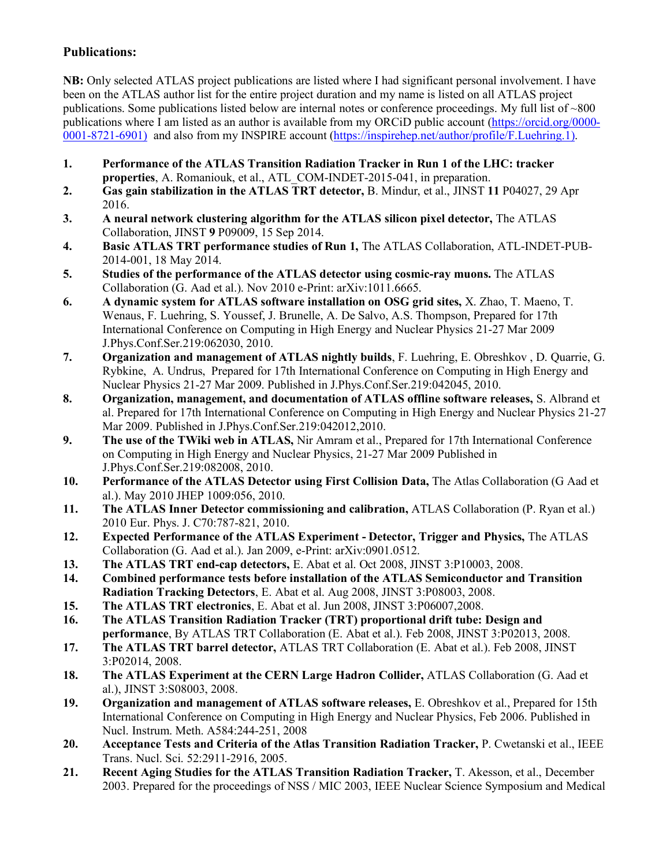## **Publications:**

**NB:** Only selected ATLAS project publications are listed where I had significant personal involvement. I have been on the ATLAS author list for the entire project duration and my name is listed on all ATLAS project publications. Some publications listed below are internal notes or conference proceedings. My full list of ~800 publications where I am listed as an author is available from my ORCiD public account (https://orcid.org/0000- 0001-8721-6901) and also from my INSPIRE account (https://inspirehep.net/author/profile/F.Luehring.1).

- **1. Performance of the ATLAS Transition Radiation Tracker in Run 1 of the LHC: tracker properties**, A. Romaniouk, et al., ATL\_COM-INDET-2015-041, in preparation.
- **2. Gas gain stabilization in the ATLAS TRT detector,** B. Mindur, et al., JINST **11** P04027, 29 Apr 2016.
- **3. A neural network clustering algorithm for the ATLAS silicon pixel detector,** The ATLAS Collaboration, JINST **9** P09009, 15 Sep 2014.
- **4. Basic ATLAS TRT performance studies of Run 1,** The ATLAS Collaboration, ATL-INDET-PUB-2014-001, 18 May 2014.
- **5. Studies of the performance of the ATLAS detector using cosmic-ray muons.** The ATLAS Collaboration (G. Aad et al.). Nov 2010 e-Print: arXiv:1011.6665.
- **6. A dynamic system for ATLAS software installation on OSG grid sites,** X. Zhao, T. Maeno, T. Wenaus, F. Luehring, S. Youssef, J. Brunelle, A. De Salvo, A.S. Thompson, Prepared for 17th International Conference on Computing in High Energy and Nuclear Physics 21-27 Mar 2009 J.Phys.Conf.Ser.219:062030, 2010.
- **7. Organization and management of ATLAS nightly builds**, F. Luehring, E. Obreshkov , D. Quarrie, G. Rybkine, A. Undrus, Prepared for 17th International Conference on Computing in High Energy and Nuclear Physics 21-27 Mar 2009. Published in J.Phys.Conf.Ser.219:042045, 2010.
- **8. Organization, management, and documentation of ATLAS offline software releases,** S. Albrand et al. Prepared for 17th International Conference on Computing in High Energy and Nuclear Physics 21-27 Mar 2009. Published in J.Phys.Conf.Ser.219:042012,2010.
- **9. The use of the TWiki web in ATLAS,** Nir Amram et al., Prepared for 17th International Conference on Computing in High Energy and Nuclear Physics, 21-27 Mar 2009 Published in J.Phys.Conf.Ser.219:082008, 2010.
- **10. Performance of the ATLAS Detector using First Collision Data,** The Atlas Collaboration (G Aad et al.). May 2010 JHEP 1009:056, 2010.
- **11. The ATLAS Inner Detector commissioning and calibration,** ATLAS Collaboration (P. Ryan et al.) 2010 Eur. Phys. J. C70:787-821, 2010.
- **12. Expected Performance of the ATLAS Experiment - Detector, Trigger and Physics,** The ATLAS Collaboration (G. Aad et al.). Jan 2009, e-Print: arXiv:0901.0512.
- **13. The ATLAS TRT end-cap detectors,** E. Abat et al. Oct 2008, JINST 3:P10003, 2008.
- **14. Combined performance tests before installation of the ATLAS Semiconductor and Transition Radiation Tracking Detectors**, E. Abat et al. Aug 2008, JINST 3:P08003, 2008.
- **15. The ATLAS TRT electronics**, E. Abat et al. Jun 2008, JINST 3:P06007,2008.
- **16. The ATLAS Transition Radiation Tracker (TRT) proportional drift tube: Design and performance**, By ATLAS TRT Collaboration (E. Abat et al.). Feb 2008, JINST 3:P02013, 2008.
- **17. The ATLAS TRT barrel detector,** ATLAS TRT Collaboration (E. Abat et al.). Feb 2008, JINST 3:P02014, 2008.
- **18. The ATLAS Experiment at the CERN Large Hadron Collider,** ATLAS Collaboration (G. Aad et al.), JINST 3:S08003, 2008.
- **19. Organization and management of ATLAS software releases,** E. Obreshkov et al., Prepared for 15th International Conference on Computing in High Energy and Nuclear Physics, Feb 2006. Published in Nucl. Instrum. Meth. A584:244-251, 2008
- **20. Acceptance Tests and Criteria of the Atlas Transition Radiation Tracker,** P. Cwetanski et al., IEEE Trans. Nucl. Sci. 52:2911-2916, 2005.
- **21. Recent Aging Studies for the ATLAS Transition Radiation Tracker,** T. Akesson, et al., December 2003. Prepared for the proceedings of NSS / MIC 2003, IEEE Nuclear Science Symposium and Medical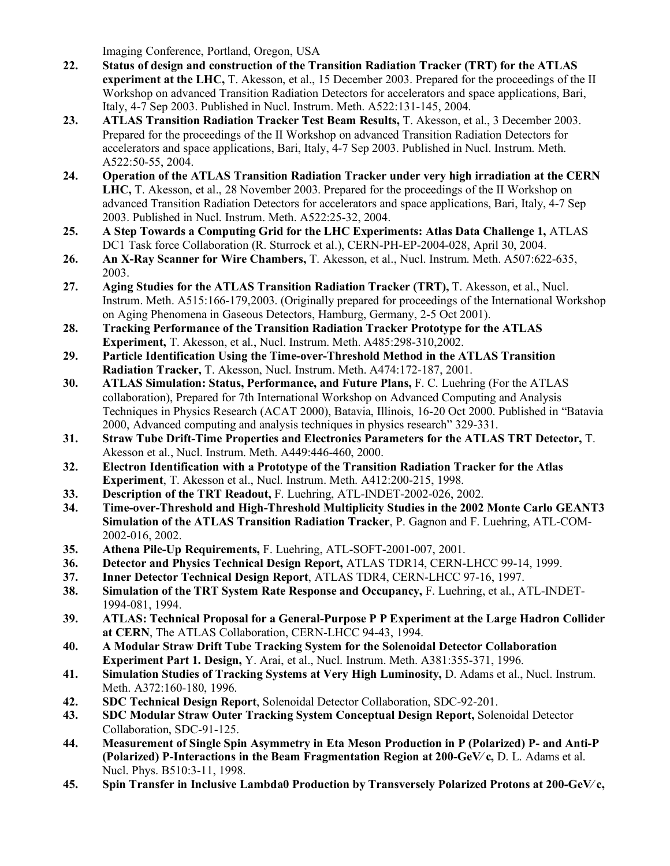Imaging Conference, Portland, Oregon, USA

- **22. Status of design and construction of the Transition Radiation Tracker (TRT) for the ATLAS experiment at the LHC,** T. Akesson, et al., 15 December 2003. Prepared for the proceedings of the II Workshop on advanced Transition Radiation Detectors for accelerators and space applications, Bari, Italy, 4-7 Sep 2003. Published in Nucl. Instrum. Meth. A522:131-145, 2004.
- **23. ATLAS Transition Radiation Tracker Test Beam Results,** T. Akesson, et al., 3 December 2003. Prepared for the proceedings of the II Workshop on advanced Transition Radiation Detectors for accelerators and space applications, Bari, Italy, 4-7 Sep 2003. Published in Nucl. Instrum. Meth. A522:50-55, 2004.
- **24. Operation of the ATLAS Transition Radiation Tracker under very high irradiation at the CERN LHC,** T. Akesson, et al., 28 November 2003. Prepared for the proceedings of the II Workshop on advanced Transition Radiation Detectors for accelerators and space applications, Bari, Italy, 4-7 Sep 2003. Published in Nucl. Instrum. Meth. A522:25-32, 2004.
- **25. A Step Towards a Computing Grid for the LHC Experiments: Atlas Data Challenge 1,** ATLAS DC1 Task force Collaboration (R. Sturrock et al.), CERN-PH-EP-2004-028, April 30, 2004.
- **26. An X-Ray Scanner for Wire Chambers,** T. Akesson, et al., Nucl. Instrum. Meth. A507:622-635, 2003.
- **27. Aging Studies for the ATLAS Transition Radiation Tracker (TRT),** T. Akesson, et al., Nucl. Instrum. Meth. A515:166-179,2003. (Originally prepared for proceedings of the International Workshop on Aging Phenomena in Gaseous Detectors, Hamburg, Germany, 2-5 Oct 2001).
- **28. Tracking Performance of the Transition Radiation Tracker Prototype for the ATLAS Experiment,** T. Akesson, et al., Nucl. Instrum. Meth. A485:298-310,2002.
- **29. Particle Identification Using the Time-over-Threshold Method in the ATLAS Transition Radiation Tracker,** T. Akesson, Nucl. Instrum. Meth. A474:172-187, 2001.
- **30. ATLAS Simulation: Status, Performance, and Future Plans,** F. C. Luehring (For the ATLAS collaboration), Prepared for 7th International Workshop on Advanced Computing and Analysis Techniques in Physics Research (ACAT 2000), Batavia, Illinois, 16-20 Oct 2000. Published in "Batavia 2000, Advanced computing and analysis techniques in physics research" 329-331.
- **31. Straw Tube Drift-Time Properties and Electronics Parameters for the ATLAS TRT Detector,** T. Akesson et al., Nucl. Instrum. Meth. A449:446-460, 2000.
- **32. Electron Identification with a Prototype of the Transition Radiation Tracker for the Atlas Experiment**, T. Akesson et al., Nucl. Instrum. Meth. A412:200-215, 1998.
- **33. Description of the TRT Readout,** F. Luehring, ATL-INDET-2002-026, 2002.
- **34. Time-over-Threshold and High-Threshold Multiplicity Studies in the 2002 Monte Carlo GEANT3 Simulation of the ATLAS Transition Radiation Tracker**, P. Gagnon and F. Luehring, ATL-COM-2002-016, 2002.
- **35. Athena Pile-Up Requirements,** F. Luehring, ATL-SOFT-2001-007, 2001.
- **36. Detector and Physics Technical Design Report,** ATLAS TDR14, CERN-LHCC 99-14, 1999.
- **37. Inner Detector Technical Design Report**, ATLAS TDR4, CERN-LHCC 97-16, 1997.
- **38. Simulation of the TRT System Rate Response and Occupancy,** F. Luehring, et al., ATL-INDET-1994-081, 1994.
- **39. ATLAS: Technical Proposal for a General-Purpose P P Experiment at the Large Hadron Collider at CERN**, The ATLAS Collaboration, CERN-LHCC 94-43, 1994.
- **40. A Modular Straw Drift Tube Tracking System for the Solenoidal Detector Collaboration Experiment Part 1. Design,** Y. Arai, et al., Nucl. Instrum. Meth. A381:355-371, 1996.
- **41. Simulation Studies of Tracking Systems at Very High Luminosity,** D. Adams et al., Nucl. Instrum. Meth. A372:160-180, 1996.
- **42. SDC Technical Design Report**, Solenoidal Detector Collaboration, SDC-92-201.
- **43. SDC Modular Straw Outer Tracking System Conceptual Design Report,** Solenoidal Detector Collaboration, SDC-91-125.
- **44. Measurement of Single Spin Asymmetry in Eta Meson Production in P (Polarized) P- and Anti-P (Polarized) P-Interactions in the Beam Fragmentation Region at 200-GeV**⁄ **c,** D. L. Adams et al. Nucl. Phys. B510:3-11, 1998.
- **45. Spin Transfer in Inclusive Lambda0 Production by Transversely Polarized Protons at 200-GeV**⁄ **c,**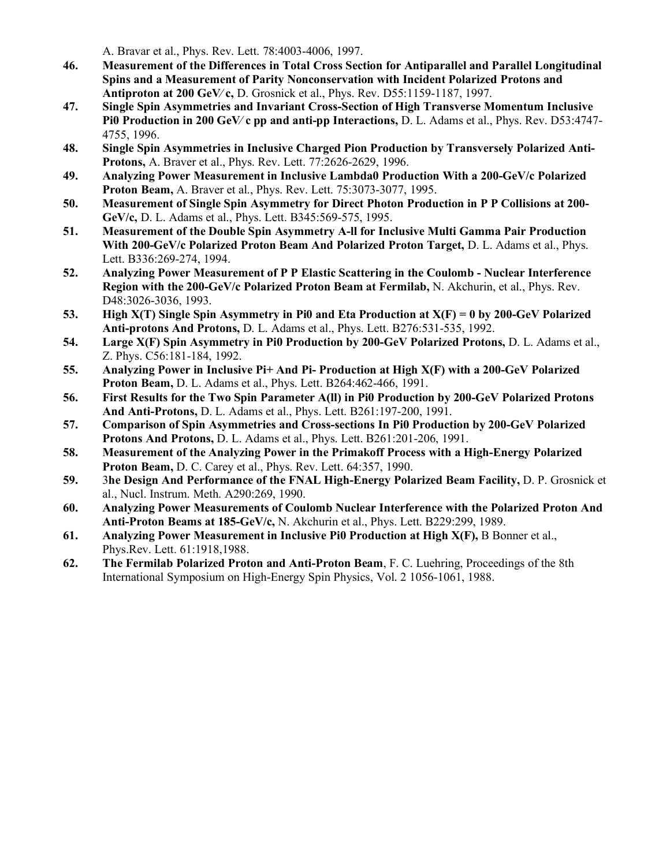A. Bravar et al., Phys. Rev. Lett. 78:4003-4006, 1997.

- **46. Measurement of the Differences in Total Cross Section for Antiparallel and Parallel Longitudinal Spins and a Measurement of Parity Nonconservation with Incident Polarized Protons and Antiproton at 200 GeV**⁄ **c,** D. Grosnick et al., Phys. Rev. D55:1159-1187, 1997.
- **47. Single Spin Asymmetries and Invariant Cross-Section of High Transverse Momentum Inclusive Pi0 Production in 200 GeV**⁄ **c pp and anti-pp Interactions,** D. L. Adams et al., Phys. Rev. D53:4747- 4755, 1996.
- **48. Single Spin Asymmetries in Inclusive Charged Pion Production by Transversely Polarized Anti-Protons,** A. Braver et al., Phys. Rev. Lett. 77:2626-2629, 1996.
- **49. Analyzing Power Measurement in Inclusive Lambda0 Production With a 200-GeV/c Polarized Proton Beam,** A. Braver et al., Phys. Rev. Lett. 75:3073-3077, 1995.
- **50. Measurement of Single Spin Asymmetry for Direct Photon Production in P P Collisions at 200- GeV/c,** D. L. Adams et al., Phys. Lett. B345:569-575, 1995.
- **51. Measurement of the Double Spin Asymmetry A-ll for Inclusive Multi Gamma Pair Production With 200-GeV/c Polarized Proton Beam And Polarized Proton Target,** D. L. Adams et al., Phys. Lett. B336:269-274, 1994.
- **52. Analyzing Power Measurement of P P Elastic Scattering in the Coulomb - Nuclear Interference Region with the 200-GeV/c Polarized Proton Beam at Fermilab,** N. Akchurin, et al., Phys. Rev. D48:3026-3036, 1993.
- **53. High X(T) Single Spin Asymmetry in Pi0 and Eta Production at X(F) = 0 by 200-GeV Polarized Anti-protons And Protons,** D. L. Adams et al., Phys. Lett. B276:531-535, 1992.
- **54. Large X(F) Spin Asymmetry in Pi0 Production by 200-GeV Polarized Protons,** D. L. Adams et al., Z. Phys. C56:181-184, 1992.
- **55. Analyzing Power in Inclusive Pi+ And Pi- Production at High X(F) with a 200-GeV Polarized Proton Beam,** D. L. Adams et al., Phys. Lett. B264:462-466, 1991.
- **56. First Results for the Two Spin Parameter A(ll) in Pi0 Production by 200-GeV Polarized Protons And Anti-Protons,** D. L. Adams et al., Phys. Lett. B261:197-200, 1991.
- **57. Comparison of Spin Asymmetries and Cross-sections In Pi0 Production by 200-GeV Polarized Protons And Protons,** D. L. Adams et al., Phys. Lett. B261:201-206, 1991.
- **58. Measurement of the Analyzing Power in the Primakoff Process with a High-Energy Polarized Proton Beam,** D. C. Carey et al., Phys. Rev. Lett. 64:357, 1990.
- **59.** 3**he Design And Performance of the FNAL High-Energy Polarized Beam Facility,** D. P. Grosnick et al., Nucl. Instrum. Meth. A290:269, 1990.
- **60. Analyzing Power Measurements of Coulomb Nuclear Interference with the Polarized Proton And Anti-Proton Beams at 185-GeV/c,** N. Akchurin et al., Phys. Lett. B229:299, 1989.
- **61. Analyzing Power Measurement in Inclusive Pi0 Production at High X(F),** B Bonner et al., Phys.Rev. Lett. 61:1918,1988.
- **62. The Fermilab Polarized Proton and Anti-Proton Beam**, F. C. Luehring, Proceedings of the 8th International Symposium on High-Energy Spin Physics, Vol. 2 1056-1061, 1988.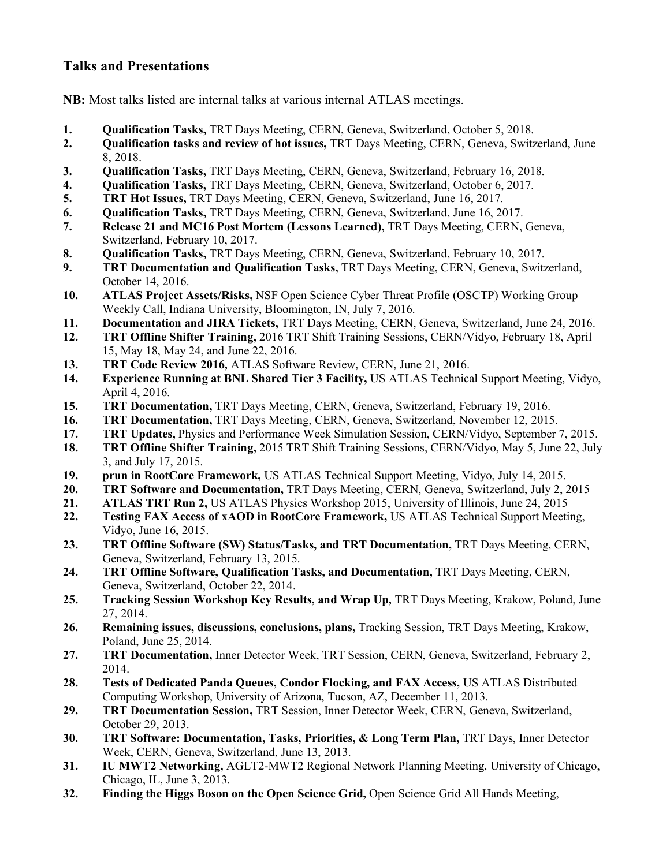## **Talks and Presentations**

**NB:** Most talks listed are internal talks at various internal ATLAS meetings.

- **1. Qualification Tasks,** TRT Days Meeting, CERN, Geneva, Switzerland, October 5, 2018.
- **2. Qualification tasks and review of hot issues,** TRT Days Meeting, CERN, Geneva, Switzerland, June 8, 2018.
- **3. Qualification Tasks,** TRT Days Meeting, CERN, Geneva, Switzerland, February 16, 2018.
- **4. Qualification Tasks,** TRT Days Meeting, CERN, Geneva, Switzerland, October 6, 2017.
- **5. TRT Hot Issues,** TRT Days Meeting, CERN, Geneva, Switzerland, June 16, 2017.
- **6. Qualification Tasks,** TRT Days Meeting, CERN, Geneva, Switzerland, June 16, 2017.
- **7. Release 21 and MC16 Post Mortem (Lessons Learned),** TRT Days Meeting, CERN, Geneva, Switzerland, February 10, 2017.
- **8. Qualification Tasks,** TRT Days Meeting, CERN, Geneva, Switzerland, February 10, 2017.
- **9. TRT Documentation and Qualification Tasks,** TRT Days Meeting, CERN, Geneva, Switzerland, October 14, 2016.
- **10. ATLAS Project Assets/Risks,** NSF Open Science Cyber Threat Profile (OSCTP) Working Group Weekly Call, Indiana University, Bloomington, IN, July 7, 2016.
- **11. Documentation and JIRA Tickets,** TRT Days Meeting, CERN, Geneva, Switzerland, June 24, 2016.
- **12. TRT Offline Shifter Training,** 2016 TRT Shift Training Sessions, CERN/Vidyo, February 18, April 15, May 18, May 24, and June 22, 2016.
- **13. TRT Code Review 2016,** ATLAS Software Review, CERN, June 21, 2016.
- **14. Experience Running at BNL Shared Tier 3 Facility,** US ATLAS Technical Support Meeting, Vidyo, April 4, 2016.
- **15. TRT Documentation,** TRT Days Meeting, CERN, Geneva, Switzerland, February 19, 2016.
- **16. TRT Documentation,** TRT Days Meeting, CERN, Geneva, Switzerland, November 12, 2015.
- **17. TRT Updates,** Physics and Performance Week Simulation Session, CERN/Vidyo, September 7, 2015.
- **18. TRT Offline Shifter Training,** 2015 TRT Shift Training Sessions, CERN/Vidyo, May 5, June 22, July 3, and July 17, 2015.
- **19. prun in RootCore Framework,** US ATLAS Technical Support Meeting, Vidyo, July 14, 2015.
- **20. TRT Software and Documentation,** TRT Days Meeting, CERN, Geneva, Switzerland, July 2, 2015
- **21. ATLAS TRT Run 2,** US ATLAS Physics Workshop 2015, University of Illinois, June 24, 2015
- **22. Testing FAX Access of xAOD in RootCore Framework,** US ATLAS Technical Support Meeting, Vidyo, June 16, 2015.
- **23. TRT Offline Software (SW) Status/Tasks, and TRT Documentation,** TRT Days Meeting, CERN, Geneva, Switzerland, February 13, 2015.
- **24. TRT Offline Software, Qualification Tasks, and Documentation,** TRT Days Meeting, CERN, Geneva, Switzerland, October 22, 2014.
- **25. Tracking Session Workshop Key Results, and Wrap Up,** TRT Days Meeting, Krakow, Poland, June 27, 2014.
- **26. Remaining issues, discussions, conclusions, plans,** Tracking Session, TRT Days Meeting, Krakow, Poland, June 25, 2014.
- **27. TRT Documentation,** Inner Detector Week, TRT Session, CERN, Geneva, Switzerland, February 2, 2014.
- **28. Tests of Dedicated Panda Queues, Condor Flocking, and FAX Access,** US ATLAS Distributed Computing Workshop, University of Arizona, Tucson, AZ, December 11, 2013.
- **29. TRT Documentation Session,** TRT Session, Inner Detector Week, CERN, Geneva, Switzerland, October 29, 2013.
- **30. TRT Software: Documentation, Tasks, Priorities, & Long Term Plan,** TRT Days, Inner Detector Week, CERN, Geneva, Switzerland, June 13, 2013.
- **31. IU MWT2 Networking,** AGLT2-MWT2 Regional Network Planning Meeting, University of Chicago, Chicago, IL, June 3, 2013.
- **32. Finding the Higgs Boson on the Open Science Grid,** Open Science Grid All Hands Meeting,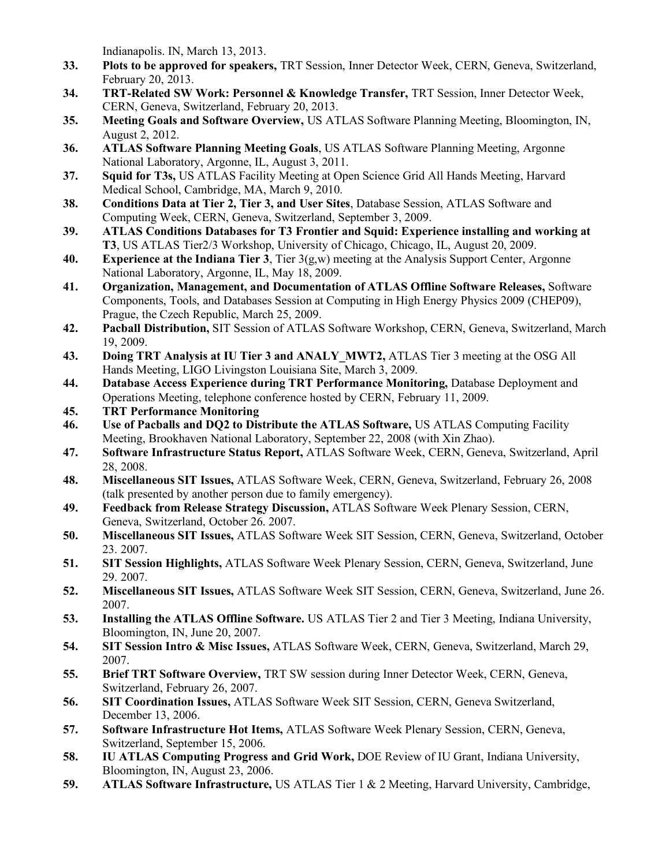Indianapolis. IN, March 13, 2013.

- **33. Plots to be approved for speakers,** TRT Session, Inner Detector Week, CERN, Geneva, Switzerland, February 20, 2013.
- **34. TRT-Related SW Work: Personnel & Knowledge Transfer,** TRT Session, Inner Detector Week, CERN, Geneva, Switzerland, February 20, 2013.
- **35. Meeting Goals and Software Overview,** US ATLAS Software Planning Meeting, Bloomington, IN, August 2, 2012.
- **36. ATLAS Software Planning Meeting Goals**, US ATLAS Software Planning Meeting, Argonne National Laboratory, Argonne, IL, August 3, 2011.
- **37. Squid for T3s,** US ATLAS Facility Meeting at Open Science Grid All Hands Meeting, Harvard Medical School, Cambridge, MA, March 9, 2010.
- **38. Conditions Data at Tier 2, Tier 3, and User Sites**, Database Session, ATLAS Software and Computing Week, CERN, Geneva, Switzerland, September 3, 2009.
- **39. ATLAS Conditions Databases for T3 Frontier and Squid: Experience installing and working at T3**, US ATLAS Tier2/3 Workshop, University of Chicago, Chicago, IL, August 20, 2009.
- **40. Experience at the Indiana Tier 3**, Tier 3(g,w) meeting at the Analysis Support Center, Argonne National Laboratory, Argonne, IL, May 18, 2009.
- **41. Organization, Management, and Documentation of ATLAS Offline Software Releases,** Software Components, Tools, and Databases Session at Computing in High Energy Physics 2009 (CHEP09), Prague, the Czech Republic, March 25, 2009.
- **42. Pacball Distribution,** SIT Session of ATLAS Software Workshop, CERN, Geneva, Switzerland, March 19, 2009.
- **43. Doing TRT Analysis at IU Tier 3 and ANALY\_MWT2,** ATLAS Tier 3 meeting at the OSG All Hands Meeting, LIGO Livingston Louisiana Site, March 3, 2009.
- **44. Database Access Experience during TRT Performance Monitoring,** Database Deployment and Operations Meeting, telephone conference hosted by CERN, February 11, 2009.
- **45. TRT Performance Monitoring**
- **46. Use of Pacballs and DQ2 to Distribute the ATLAS Software,** US ATLAS Computing Facility Meeting, Brookhaven National Laboratory, September 22, 2008 (with Xin Zhao).
- **47. Software Infrastructure Status Report,** ATLAS Software Week, CERN, Geneva, Switzerland, April 28, 2008.
- **48. Miscellaneous SIT Issues,** ATLAS Software Week, CERN, Geneva, Switzerland, February 26, 2008 (talk presented by another person due to family emergency).
- **49. Feedback from Release Strategy Discussion,** ATLAS Software Week Plenary Session, CERN, Geneva, Switzerland, October 26. 2007.
- **50. Miscellaneous SIT Issues,** ATLAS Software Week SIT Session, CERN, Geneva, Switzerland, October 23. 2007.
- **51. SIT Session Highlights,** ATLAS Software Week Plenary Session, CERN, Geneva, Switzerland, June 29. 2007.
- **52. Miscellaneous SIT Issues,** ATLAS Software Week SIT Session, CERN, Geneva, Switzerland, June 26. 2007.
- **53. Installing the ATLAS Offline Software.** US ATLAS Tier 2 and Tier 3 Meeting, Indiana University, Bloomington, IN, June 20, 2007.
- **54. SIT Session Intro & Misc Issues,** ATLAS Software Week, CERN, Geneva, Switzerland, March 29, 2007.
- **55. Brief TRT Software Overview,** TRT SW session during Inner Detector Week, CERN, Geneva, Switzerland, February 26, 2007.
- **56. SIT Coordination Issues,** ATLAS Software Week SIT Session, CERN, Geneva Switzerland, December 13, 2006.
- **57. Software Infrastructure Hot Items,** ATLAS Software Week Plenary Session, CERN, Geneva, Switzerland, September 15, 2006.
- **58. IU ATLAS Computing Progress and Grid Work,** DOE Review of IU Grant, Indiana University, Bloomington, IN, August 23, 2006.
- **59. ATLAS Software Infrastructure,** US ATLAS Tier 1 & 2 Meeting, Harvard University, Cambridge,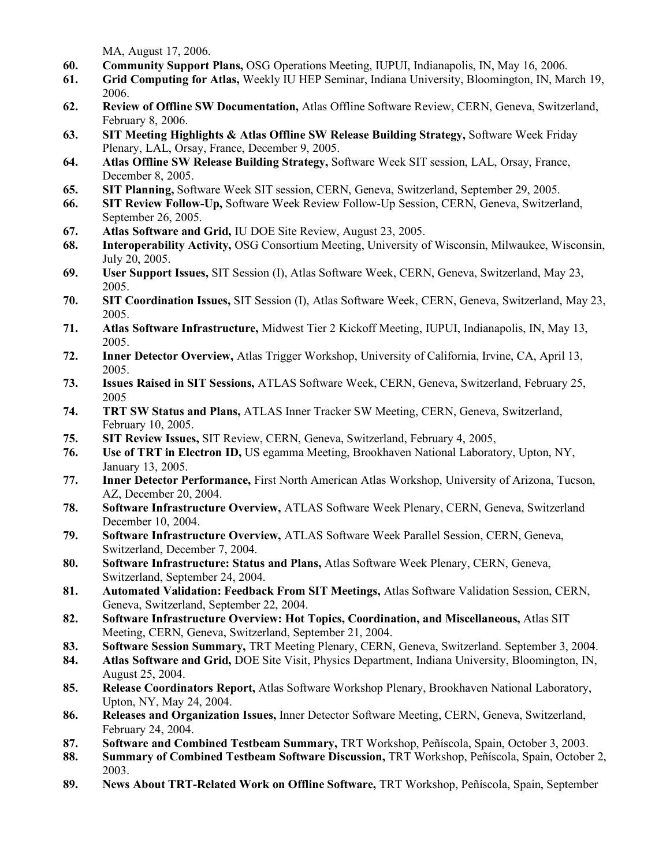MA, August 17, 2006.

- **60. Community Support Plans,** OSG Operations Meeting, IUPUI, Indianapolis, IN, May 16, 2006.
- **61. Grid Computing for Atlas,** Weekly IU HEP Seminar, Indiana University, Bloomington, IN, March 19, 2006.
- **62. Review of Offline SW Documentation,** Atlas Offline Software Review, CERN, Geneva, Switzerland, February 8, 2006.
- **63. SIT Meeting Highlights & Atlas Offline SW Release Building Strategy,** Software Week Friday Plenary, LAL, Orsay, France, December 9, 2005.
- **64. Atlas Offline SW Release Building Strategy,** Software Week SIT session, LAL, Orsay, France, December 8, 2005.
- **65. SIT Planning,** Software Week SIT session, CERN, Geneva, Switzerland, September 29, 2005.
- **66. SIT Review Follow-Up,** Software Week Review Follow-Up Session, CERN, Geneva, Switzerland, September 26, 2005.
- **67. Atlas Software and Grid,** IU DOE Site Review, August 23, 2005.
- **68. Interoperability Activity,** OSG Consortium Meeting, University of Wisconsin, Milwaukee, Wisconsin, July 20, 2005.
- **69. User Support Issues,** SIT Session (I), Atlas Software Week, CERN, Geneva, Switzerland, May 23, 2005.
- **70. SIT Coordination Issues,** SIT Session (I), Atlas Software Week, CERN, Geneva, Switzerland, May 23, 2005.
- **71. Atlas Software Infrastructure,** Midwest Tier 2 Kickoff Meeting, IUPUI, Indianapolis, IN, May 13, 2005.
- **72. Inner Detector Overview,** Atlas Trigger Workshop, University of California, Irvine, CA, April 13, 2005.
- **73. Issues Raised in SIT Sessions,** ATLAS Software Week, CERN, Geneva, Switzerland, February 25, 2005
- **74. TRT SW Status and Plans,** ATLAS Inner Tracker SW Meeting, CERN, Geneva, Switzerland, February 10, 2005.
- **75. SIT Review Issues,** SIT Review, CERN, Geneva, Switzerland, February 4, 2005,
- **76. Use of TRT in Electron ID,** US egamma Meeting, Brookhaven National Laboratory, Upton, NY, January 13, 2005.
- **77. Inner Detector Performance,** First North American Atlas Workshop, University of Arizona, Tucson, AZ, December 20, 2004.
- **78. Software Infrastructure Overview,** ATLAS Software Week Plenary, CERN, Geneva, Switzerland December 10, 2004.
- **79. Software Infrastructure Overview,** ATLAS Software Week Parallel Session, CERN, Geneva, Switzerland, December 7, 2004.
- **80. Software Infrastructure: Status and Plans,** Atlas Software Week Plenary, CERN, Geneva, Switzerland, September 24, 2004.
- **81. Automated Validation: Feedback From SIT Meetings,** Atlas Software Validation Session, CERN, Geneva, Switzerland, September 22, 2004.
- **82. Software Infrastructure Overview: Hot Topics, Coordination, and Miscellaneous,** Atlas SIT Meeting, CERN, Geneva, Switzerland, September 21, 2004.
- **83. Software Session Summary,** TRT Meeting Plenary, CERN, Geneva, Switzerland. September 3, 2004.
- **84. Atlas Software and Grid,** DOE Site Visit, Physics Department, Indiana University, Bloomington, IN, August 25, 2004.
- **85. Release Coordinators Report,** Atlas Software Workshop Plenary, Brookhaven National Laboratory, Upton, NY, May 24, 2004.
- **86. Releases and Organization Issues,** Inner Detector Software Meeting, CERN, Geneva, Switzerland, February 24, 2004.
- **87. Software and Combined Testbeam Summary,** TRT Workshop, Peñíscola, Spain, October 3, 2003.
- **88. Summary of Combined Testbeam Software Discussion,** TRT Workshop, Peñíscola, Spain, October 2, 2003.
- **89. News About TRT-Related Work on Offline Software,** TRT Workshop, Peñíscola, Spain, September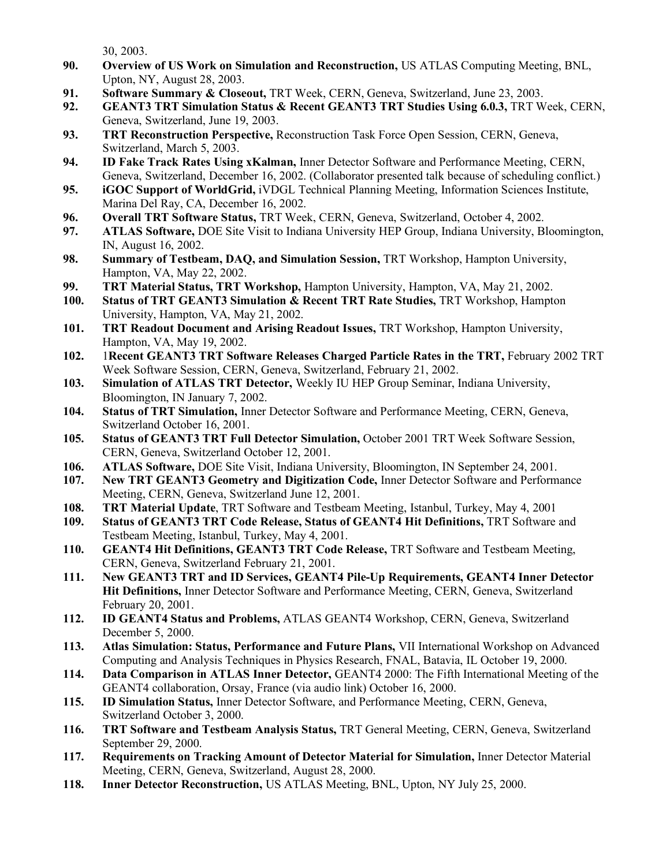30, 2003.

- **90. Overview of US Work on Simulation and Reconstruction,** US ATLAS Computing Meeting, BNL, Upton, NY, August 28, 2003.
- **91. Software Summary & Closeout,** TRT Week, CERN, Geneva, Switzerland, June 23, 2003.
- **92. GEANT3 TRT Simulation Status & Recent GEANT3 TRT Studies Using 6.0.3,** TRT Week, CERN, Geneva, Switzerland, June 19, 2003.
- **93. TRT Reconstruction Perspective,** Reconstruction Task Force Open Session, CERN, Geneva, Switzerland, March 5, 2003.
- **94. ID Fake Track Rates Using xKalman,** Inner Detector Software and Performance Meeting, CERN, Geneva, Switzerland, December 16, 2002. (Collaborator presented talk because of scheduling conflict.)
- **95. iGOC Support of WorldGrid,** iVDGL Technical Planning Meeting, Information Sciences Institute, Marina Del Ray, CA, December 16, 2002.
- **96. Overall TRT Software Status,** TRT Week, CERN, Geneva, Switzerland, October 4, 2002.
- **97. ATLAS Software,** DOE Site Visit to Indiana University HEP Group, Indiana University, Bloomington, IN, August 16, 2002.
- **98. Summary of Testbeam, DAQ, and Simulation Session,** TRT Workshop, Hampton University, Hampton, VA, May 22, 2002.
- **99. TRT Material Status, TRT Workshop,** Hampton University, Hampton, VA, May 21, 2002.
- **100. Status of TRT GEANT3 Simulation & Recent TRT Rate Studies,** TRT Workshop, Hampton University, Hampton, VA, May 21, 2002.
- **101. TRT Readout Document and Arising Readout Issues,** TRT Workshop, Hampton University, Hampton, VA, May 19, 2002.
- **102.** 1**Recent GEANT3 TRT Software Releases Charged Particle Rates in the TRT,** February 2002 TRT Week Software Session, CERN, Geneva, Switzerland, February 21, 2002.
- **103. Simulation of ATLAS TRT Detector,** Weekly IU HEP Group Seminar, Indiana University, Bloomington, IN January 7, 2002.
- **104. Status of TRT Simulation,** Inner Detector Software and Performance Meeting, CERN, Geneva, Switzerland October 16, 2001.
- **105. Status of GEANT3 TRT Full Detector Simulation,** October 2001 TRT Week Software Session, CERN, Geneva, Switzerland October 12, 2001.
- **106. ATLAS Software,** DOE Site Visit, Indiana University, Bloomington, IN September 24, 2001.
- **107. New TRT GEANT3 Geometry and Digitization Code,** Inner Detector Software and Performance Meeting, CERN, Geneva, Switzerland June 12, 2001.
- **108. TRT Material Update**, TRT Software and Testbeam Meeting, Istanbul, Turkey, May 4, 2001
- **109. Status of GEANT3 TRT Code Release, Status of GEANT4 Hit Definitions,** TRT Software and Testbeam Meeting, Istanbul, Turkey, May 4, 2001.
- **110. GEANT4 Hit Definitions, GEANT3 TRT Code Release,** TRT Software and Testbeam Meeting, CERN, Geneva, Switzerland February 21, 2001.
- **111. New GEANT3 TRT and ID Services, GEANT4 Pile-Up Requirements, GEANT4 Inner Detector Hit Definitions,** Inner Detector Software and Performance Meeting, CERN, Geneva, Switzerland February 20, 2001.
- **112. ID GEANT4 Status and Problems,** ATLAS GEANT4 Workshop, CERN, Geneva, Switzerland December 5, 2000.
- **113. Atlas Simulation: Status, Performance and Future Plans,** VII International Workshop on Advanced Computing and Analysis Techniques in Physics Research, FNAL, Batavia, IL October 19, 2000.
- **114. Data Comparison in ATLAS Inner Detector,** GEANT4 2000: The Fifth International Meeting of the GEANT4 collaboration, Orsay, France (via audio link) October 16, 2000.
- **115. ID Simulation Status,** Inner Detector Software, and Performance Meeting, CERN, Geneva, Switzerland October 3, 2000.
- **116. TRT Software and Testbeam Analysis Status,** TRT General Meeting, CERN, Geneva, Switzerland September 29, 2000.
- **117. Requirements on Tracking Amount of Detector Material for Simulation,** Inner Detector Material Meeting, CERN, Geneva, Switzerland, August 28, 2000.
- **118. Inner Detector Reconstruction,** US ATLAS Meeting, BNL, Upton, NY July 25, 2000.